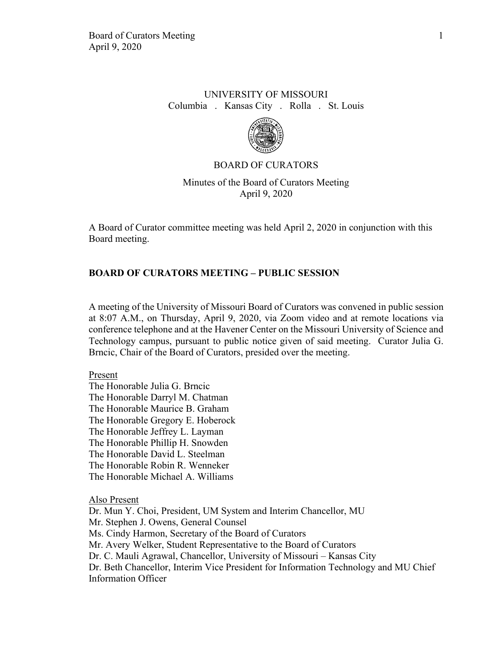## UNIVERSITY OF MISSOURI Columbia . Kansas City . Rolla . St. Louis



#### BOARD OF CURATORS

Minutes of the Board of Curators Meeting April 9, 2020

A Board of Curator committee meeting was held April 2, 2020 in conjunction with this Board meeting.

#### **BOARD OF CURATORS MEETING – PUBLIC SESSION**

A meeting of the University of Missouri Board of Curators was convened in public session at 8:07 A.M., on Thursday, April 9, 2020, via Zoom video and at remote locations via conference telephone and at the Havener Center on the Missouri University of Science and Technology campus, pursuant to public notice given of said meeting. Curator Julia G. Brncic, Chair of the Board of Curators, presided over the meeting.

#### Present

The Honorable Julia G. Brncic The Honorable Darryl M. Chatman The Honorable Maurice B. Graham The Honorable Gregory E. Hoberock The Honorable Jeffrey L. Layman The Honorable Phillip H. Snowden The Honorable David L. Steelman The Honorable Robin R. Wenneker The Honorable Michael A. Williams

Also Present

Dr. Mun Y. Choi, President, UM System and Interim Chancellor, MU Mr. Stephen J. Owens, General Counsel Ms. Cindy Harmon, Secretary of the Board of Curators Mr. Avery Welker, Student Representative to the Board of Curators Dr. C. Mauli Agrawal, Chancellor, University of Missouri – Kansas City Dr. Beth Chancellor, Interim Vice President for Information Technology and MU Chief Information Officer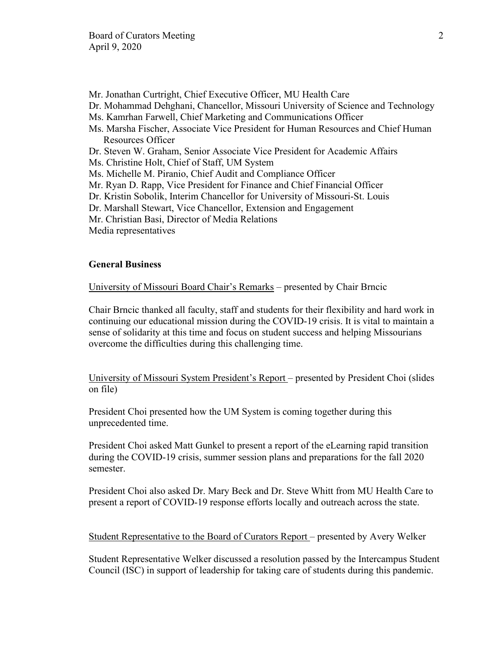- Mr. Jonathan Curtright, Chief Executive Officer, MU Health Care
- Dr. Mohammad Dehghani, Chancellor, Missouri University of Science and Technology
- Ms. Kamrhan Farwell, Chief Marketing and Communications Officer
- Ms. Marsha Fischer, Associate Vice President for Human Resources and Chief Human Resources Officer
- Dr. Steven W. Graham, Senior Associate Vice President for Academic Affairs
- Ms. Christine Holt, Chief of Staff, UM System
- Ms. Michelle M. Piranio, Chief Audit and Compliance Officer
- Mr. Ryan D. Rapp, Vice President for Finance and Chief Financial Officer
- Dr. Kristin Sobolik, Interim Chancellor for University of Missouri-St. Louis
- Dr. Marshall Stewart, Vice Chancellor, Extension and Engagement
- Mr. Christian Basi, Director of Media Relations
- Media representatives

### **General Business**

University of Missouri Board Chair's Remarks – presented by Chair Brncic

Chair Brncic thanked all faculty, staff and students for their flexibility and hard work in continuing our educational mission during the COVID-19 crisis. It is vital to maintain a sense of solidarity at this time and focus on student success and helping Missourians overcome the difficulties during this challenging time.

University of Missouri System President's Report – presented by President Choi (slides on file)

President Choi presented how the UM System is coming together during this unprecedented time.

President Choi asked Matt Gunkel to present a report of the eLearning rapid transition during the COVID-19 crisis, summer session plans and preparations for the fall 2020 semester.

President Choi also asked Dr. Mary Beck and Dr. Steve Whitt from MU Health Care to present a report of COVID-19 response efforts locally and outreach across the state.

Student Representative to the Board of Curators Report – presented by Avery Welker

Student Representative Welker discussed a resolution passed by the Intercampus Student Council (ISC) in support of leadership for taking care of students during this pandemic.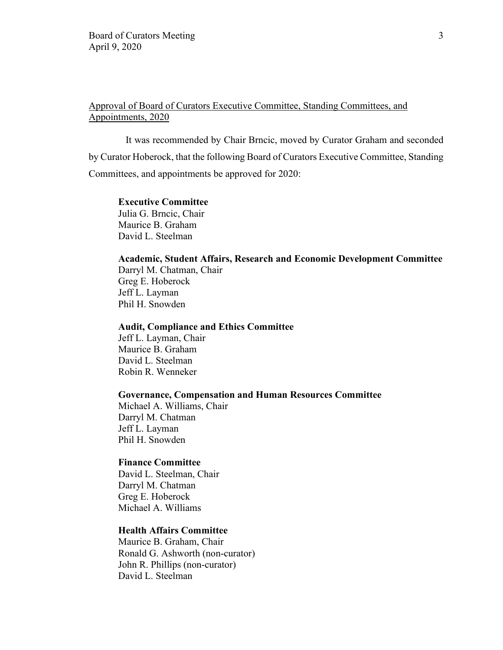# Approval of Board of Curators Executive Committee, Standing Committees, and Appointments, 2020

It was recommended by Chair Brncic, moved by Curator Graham and seconded by Curator Hoberock, that the following Board of Curators Executive Committee, Standing Committees, and appointments be approved for 2020:

#### **Executive Committee**

Julia G. Brncic, Chair Maurice B. Graham David L. Steelman

### **Academic, Student Affairs, Research and Economic Development Committee**

Darryl M. Chatman, Chair Greg E. Hoberock Jeff L. Layman Phil H. Snowden

#### **Audit, Compliance and Ethics Committee**

Jeff L. Layman, Chair Maurice B. Graham David L. Steelman Robin R. Wenneker

#### **Governance, Compensation and Human Resources Committee**

Michael A. Williams, Chair Darryl M. Chatman Jeff L. Layman Phil H. Snowden

### **Finance Committee**

David L. Steelman, Chair Darryl M. Chatman Greg E. Hoberock Michael A. Williams

# **Health Affairs Committee**

Maurice B. Graham, Chair Ronald G. Ashworth (non-curator) John R. Phillips (non-curator) David L. Steelman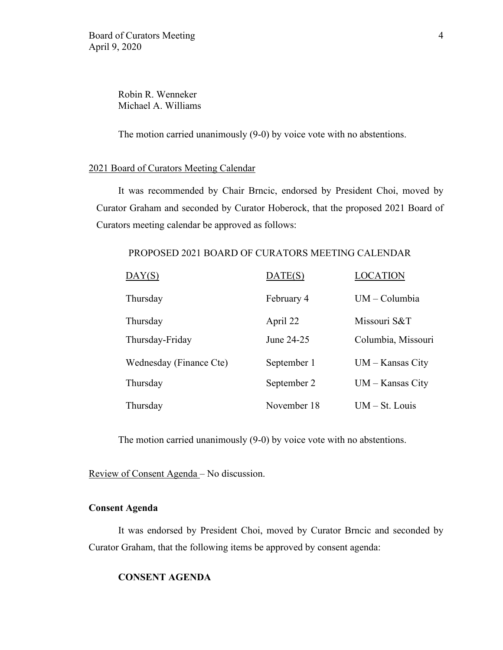Robin R. Wenneker Michael A. Williams

The motion carried unanimously (9-0) by voice vote with no abstentions.

### 2021 Board of Curators Meeting Calendar

It was recommended by Chair Brncic, endorsed by President Choi, moved by Curator Graham and seconded by Curator Hoberock, that the proposed 2021 Board of Curators meeting calendar be approved as follows:

### PROPOSED 2021 BOARD OF CURATORS MEETING CALENDAR

| DAY(S)                  | DATE(S)     | <b>LOCATION</b>    |
|-------------------------|-------------|--------------------|
| Thursday                | February 4  | $UM - Columbia$    |
| Thursday                | April 22    | Missouri S&T       |
| Thursday-Friday         | June 24-25  | Columbia, Missouri |
| Wednesday (Finance Cte) | September 1 | $UM - Kansas City$ |
| Thursday                | September 2 | $UM - Kansas City$ |
| Thursday                | November 18 | $UM - St. Louis$   |

The motion carried unanimously (9-0) by voice vote with no abstentions.

Review of Consent Agenda – No discussion.

#### **Consent Agenda**

It was endorsed by President Choi, moved by Curator Brncic and seconded by Curator Graham, that the following items be approved by consent agenda:

#### **CONSENT AGENDA**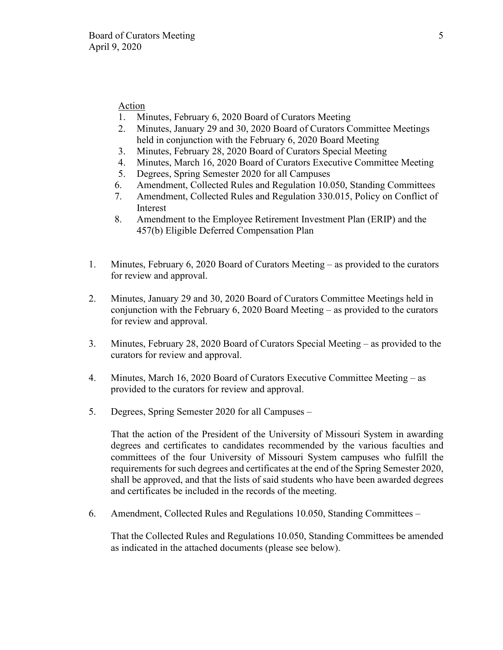# Action

- 1. Minutes, February 6, 2020 Board of Curators Meeting
- 2. Minutes, January 29 and 30, 2020 Board of Curators Committee Meetings held in conjunction with the February 6, 2020 Board Meeting
- 3. Minutes, February 28, 2020 Board of Curators Special Meeting
- 4. Minutes, March 16, 2020 Board of Curators Executive Committee Meeting
- 5. Degrees, Spring Semester 2020 for all Campuses
- 6. Amendment, Collected Rules and Regulation 10.050, Standing Committees
- 7. Amendment, Collected Rules and Regulation 330.015, Policy on Conflict of Interest
- 8. Amendment to the Employee Retirement Investment Plan (ERIP) and the 457(b) Eligible Deferred Compensation Plan
- 1. Minutes, February 6, 2020 Board of Curators Meeting as provided to the curators for review and approval.
- 2. Minutes, January 29 and 30, 2020 Board of Curators Committee Meetings held in conjunction with the February 6, 2020 Board Meeting – as provided to the curators for review and approval.
- 3. Minutes, February 28, 2020 Board of Curators Special Meeting as provided to the curators for review and approval.
- 4. Minutes, March 16, 2020 Board of Curators Executive Committee Meeting as provided to the curators for review and approval.
- 5. Degrees, Spring Semester 2020 for all Campuses –

That the action of the President of the University of Missouri System in awarding degrees and certificates to candidates recommended by the various faculties and committees of the four University of Missouri System campuses who fulfill the requirements for such degrees and certificates at the end of the Spring Semester 2020, shall be approved, and that the lists of said students who have been awarded degrees and certificates be included in the records of the meeting.

6. Amendment, Collected Rules and Regulations 10.050, Standing Committees –

That the Collected Rules and Regulations 10.050, Standing Committees be amended as indicated in the attached documents (please see below).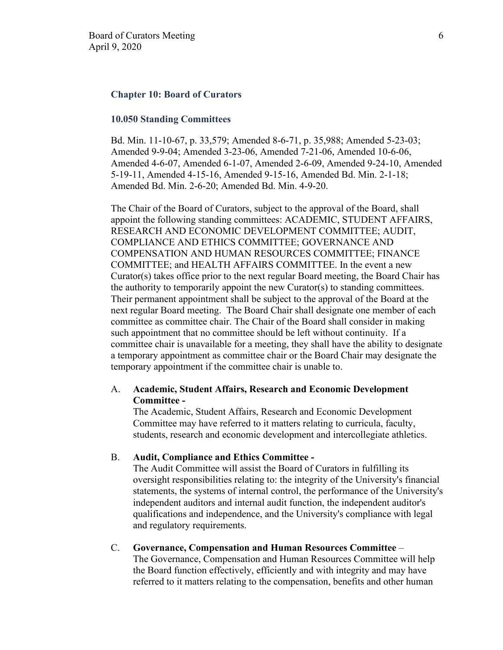#### **Chapter 10: Board of Curators**

#### **10.050 Standing Committees**

Bd. Min. 11-10-67, p. 33,579; Amended 8-6-71, p. 35,988; Amended 5-23-03; Amended 9-9-04; Amended 3-23-06, Amended 7-21-06, Amended 10-6-06, Amended 4-6-07, Amended 6-1-07, Amended 2-6-09, Amended 9-24-10, Amended 5-19-11, Amended 4-15-16, Amended 9-15-16, Amended Bd. Min. 2-1-18; Amended Bd. Min. 2-6-20; Amended Bd. Min. 4-9-20.

The Chair of the Board of Curators, subject to the approval of the Board, shall appoint the following standing committees: ACADEMIC, STUDENT AFFAIRS, RESEARCH AND ECONOMIC DEVELOPMENT COMMITTEE; AUDIT, COMPLIANCE AND ETHICS COMMITTEE; GOVERNANCE AND COMPENSATION AND HUMAN RESOURCES COMMITTEE; FINANCE COMMITTEE; and HEALTH AFFAIRS COMMITTEE. In the event a new Curator(s) takes office prior to the next regular Board meeting, the Board Chair has the authority to temporarily appoint the new Curator(s) to standing committees. Their permanent appointment shall be subject to the approval of the Board at the next regular Board meeting. The Board Chair shall designate one member of each committee as committee chair. The Chair of the Board shall consider in making such appointment that no committee should be left without continuity. If a committee chair is unavailable for a meeting, they shall have the ability to designate a temporary appointment as committee chair or the Board Chair may designate the temporary appointment if the committee chair is unable to.

#### A. **Academic, Student Affairs, Research and Economic Development Committee -**

The Academic, Student Affairs, Research and Economic Development Committee may have referred to it matters relating to curricula, faculty, students, research and economic development and intercollegiate athletics.

#### B. **Audit, Compliance and Ethics Committee -**

The Audit Committee will assist the Board of Curators in fulfilling its oversight responsibilities relating to: the integrity of the University's financial statements, the systems of internal control, the performance of the University's independent auditors and internal audit function, the independent auditor's qualifications and independence, and the University's compliance with legal and regulatory requirements.

#### C. **Governance, Compensation and Human Resources Committee** –

The Governance, Compensation and Human Resources Committee will help the Board function effectively, efficiently and with integrity and may have referred to it matters relating to the compensation, benefits and other human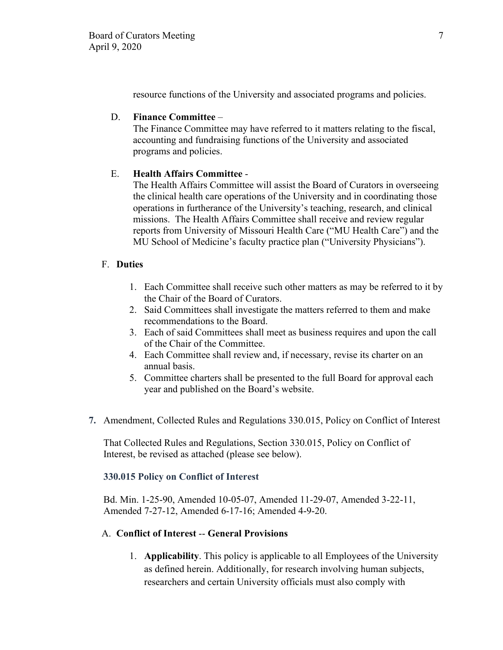resource functions of the University and associated programs and policies.

# D. **Finance Committee** –

The Finance Committee may have referred to it matters relating to the fiscal, accounting and fundraising functions of the University and associated programs and policies.

### E. **Health Affairs Committee** -

The Health Affairs Committee will assist the Board of Curators in overseeing the clinical health care operations of the University and in coordinating those operations in furtherance of the University's teaching, research, and clinical missions. The Health Affairs Committee shall receive and review regular reports from University of Missouri Health Care ("MU Health Care") and the MU School of Medicine's faculty practice plan ("University Physicians").

### F. **Duties**

- 1. Each Committee shall receive such other matters as may be referred to it by the Chair of the Board of Curators.
- 2. Said Committees shall investigate the matters referred to them and make recommendations to the Board.
- 3. Each of said Committees shall meet as business requires and upon the call of the Chair of the Committee.
- 4. Each Committee shall review and, if necessary, revise its charter on an annual basis.
- 5. Committee charters shall be presented to the full Board for approval each year and published on the Board's website.
- **7.** Amendment, Collected Rules and Regulations 330.015, Policy on Conflict of Interest

That Collected Rules and Regulations, Section 330.015, Policy on Conflict of Interest, be revised as attached (please see below).

#### **330.015 Policy on Conflict of Interest**

Bd. Min. 1-25-90, Amended 10-05-07, Amended 11-29-07, Amended 3-22-11, Amended 7-27-12, Amended 6-17-16; Amended 4-9-20.

### A. **Conflict of Interest** -- **General Provisions**

1. **Applicability**. This policy is applicable to all Employees of the University as defined herein. Additionally, for research involving human subjects, researchers and certain University officials must also comply with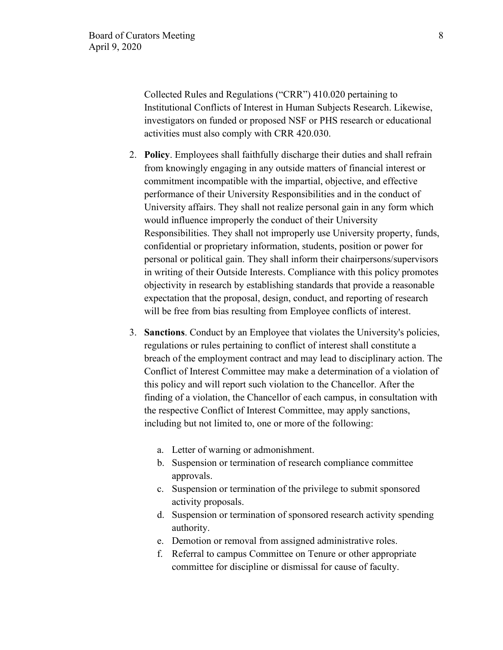Collected Rules and Regulations ("CRR") 410.020 pertaining to Institutional Conflicts of Interest in Human Subjects Research. Likewise, investigators on funded or proposed NSF or PHS research or educational activities must also comply with CRR 420.030.

- 2. **Policy**. Employees shall faithfully discharge their duties and shall refrain from knowingly engaging in any outside matters of financial interest or commitment incompatible with the impartial, objective, and effective performance of their University Responsibilities and in the conduct of University affairs. They shall not realize personal gain in any form which would influence improperly the conduct of their University Responsibilities. They shall not improperly use University property, funds, confidential or proprietary information, students, position or power for personal or political gain. They shall inform their chairpersons/supervisors in writing of their Outside Interests. Compliance with this policy promotes objectivity in research by establishing standards that provide a reasonable expectation that the proposal, design, conduct, and reporting of research will be free from bias resulting from Employee conflicts of interest.
- 3. **Sanctions**. Conduct by an Employee that violates the University's policies, regulations or rules pertaining to conflict of interest shall constitute a breach of the employment contract and may lead to disciplinary action. The Conflict of Interest Committee may make a determination of a violation of this policy and will report such violation to the Chancellor. After the finding of a violation, the Chancellor of each campus, in consultation with the respective Conflict of Interest Committee, may apply sanctions, including but not limited to, one or more of the following:
	- a. Letter of warning or admonishment.
	- b. Suspension or termination of research compliance committee approvals.
	- c. Suspension or termination of the privilege to submit sponsored activity proposals.
	- d. Suspension or termination of sponsored research activity spending authority.
	- e. Demotion or removal from assigned administrative roles.
	- f. Referral to campus Committee on Tenure or other appropriate committee for discipline or dismissal for cause of faculty.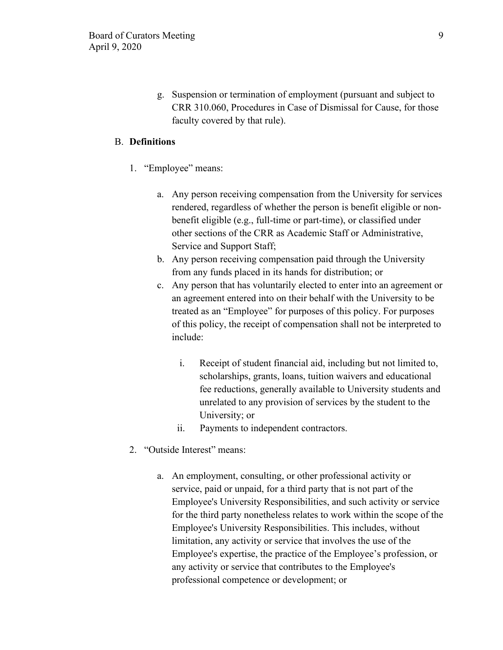g. Suspension or termination of employment (pursuant and subject to CRR 310.060, Procedures in Case of Dismissal for Cause, for those faculty covered by that rule).

### B. **Definitions**

- 1. "Employee" means:
	- a. Any person receiving compensation from the University for services rendered, regardless of whether the person is benefit eligible or nonbenefit eligible (e.g., full-time or part-time), or classified under other sections of the CRR as Academic Staff or Administrative, Service and Support Staff;
	- b. Any person receiving compensation paid through the University from any funds placed in its hands for distribution; or
	- c. Any person that has voluntarily elected to enter into an agreement or an agreement entered into on their behalf with the University to be treated as an "Employee" for purposes of this policy. For purposes of this policy, the receipt of compensation shall not be interpreted to include:
		- i. Receipt of student financial aid, including but not limited to, scholarships, grants, loans, tuition waivers and educational fee reductions, generally available to University students and unrelated to any provision of services by the student to the University; or
		- ii. Payments to independent contractors.
- 2. "Outside Interest" means:
	- a. An employment, consulting, or other professional activity or service, paid or unpaid, for a third party that is not part of the Employee's University Responsibilities, and such activity or service for the third party nonetheless relates to work within the scope of the Employee's University Responsibilities. This includes, without limitation, any activity or service that involves the use of the Employee's expertise, the practice of the Employee's profession, or any activity or service that contributes to the Employee's professional competence or development; or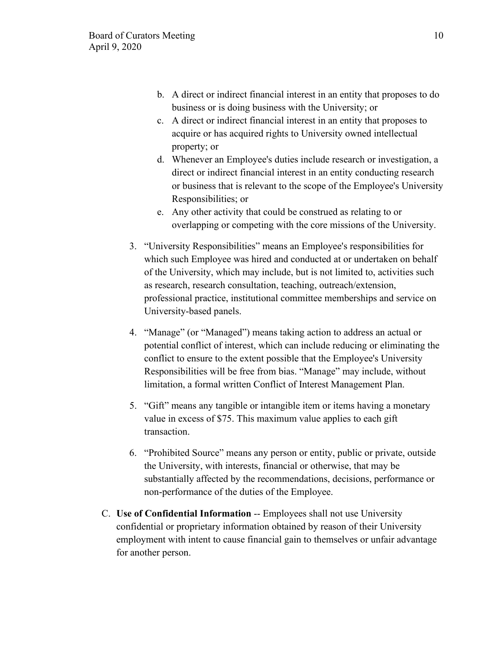- b. A direct or indirect financial interest in an entity that proposes to do business or is doing business with the University; or
- c. A direct or indirect financial interest in an entity that proposes to acquire or has acquired rights to University owned intellectual property; or
- d. Whenever an Employee's duties include research or investigation, a direct or indirect financial interest in an entity conducting research or business that is relevant to the scope of the Employee's University Responsibilities; or
- e. Any other activity that could be construed as relating to or overlapping or competing with the core missions of the University.
- 3. "University Responsibilities" means an Employee's responsibilities for which such Employee was hired and conducted at or undertaken on behalf of the University, which may include, but is not limited to, activities such as research, research consultation, teaching, outreach/extension, professional practice, institutional committee memberships and service on University-based panels.
- 4. "Manage" (or "Managed") means taking action to address an actual or potential conflict of interest, which can include reducing or eliminating the conflict to ensure to the extent possible that the Employee's University Responsibilities will be free from bias. "Manage" may include, without limitation, a formal written Conflict of Interest Management Plan.
- 5. "Gift" means any tangible or intangible item or items having a monetary value in excess of \$75. This maximum value applies to each gift transaction.
- 6. "Prohibited Source" means any person or entity, public or private, outside the University, with interests, financial or otherwise, that may be substantially affected by the recommendations, decisions, performance or non-performance of the duties of the Employee.
- C. **Use of Confidential Information** -- Employees shall not use University confidential or proprietary information obtained by reason of their University employment with intent to cause financial gain to themselves or unfair advantage for another person.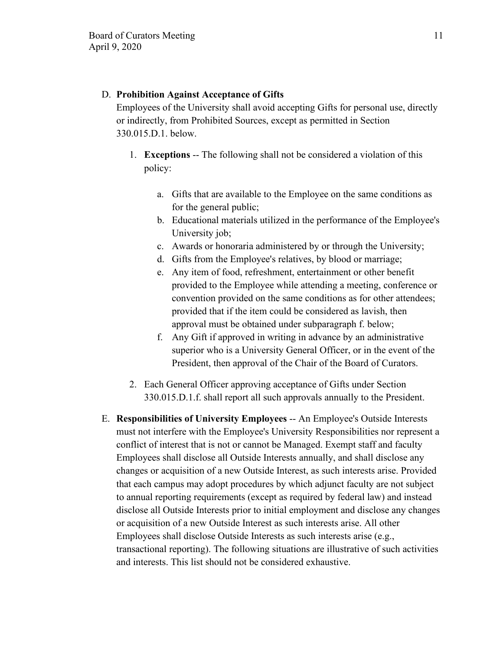### D. **Prohibition Against Acceptance of Gifts**

Employees of the University shall avoid accepting Gifts for personal use, directly or indirectly, from Prohibited Sources, except as permitted in Section 330.015.D.1. below.

- 1. **Exceptions** -- The following shall not be considered a violation of this policy:
	- a. Gifts that are available to the Employee on the same conditions as for the general public;
	- b. Educational materials utilized in the performance of the Employee's University job;
	- c. Awards or honoraria administered by or through the University;
	- d. Gifts from the Employee's relatives, by blood or marriage;
	- e. Any item of food, refreshment, entertainment or other benefit provided to the Employee while attending a meeting, conference or convention provided on the same conditions as for other attendees; provided that if the item could be considered as lavish, then approval must be obtained under subparagraph f. below;
	- f. Any Gift if approved in writing in advance by an administrative superior who is a University General Officer, or in the event of the President, then approval of the Chair of the Board of Curators.
- 2. Each General Officer approving acceptance of Gifts under Section 330.015.D.1.f. shall report all such approvals annually to the President.
- E. **Responsibilities of University Employees** -- An Employee's Outside Interests must not interfere with the Employee's University Responsibilities nor represent a conflict of interest that is not or cannot be Managed. Exempt staff and faculty Employees shall disclose all Outside Interests annually, and shall disclose any changes or acquisition of a new Outside Interest, as such interests arise. Provided that each campus may adopt procedures by which adjunct faculty are not subject to annual reporting requirements (except as required by federal law) and instead disclose all Outside Interests prior to initial employment and disclose any changes or acquisition of a new Outside Interest as such interests arise. All other Employees shall disclose Outside Interests as such interests arise (e.g., transactional reporting). The following situations are illustrative of such activities and interests. This list should not be considered exhaustive.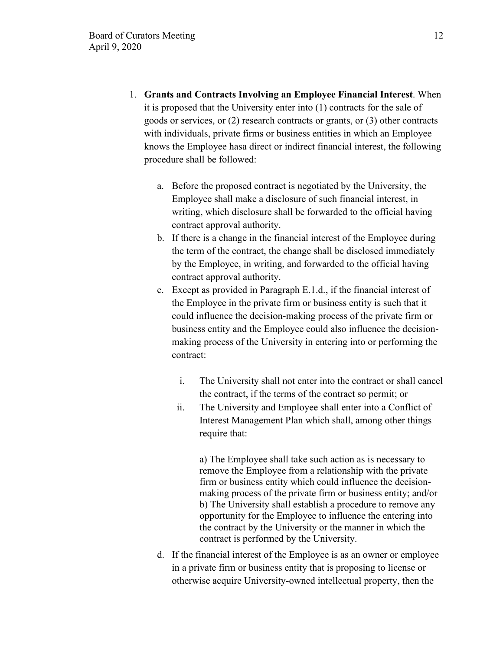- 1. **Grants and Contracts Involving an Employee Financial Interest**. When it is proposed that the University enter into (1) contracts for the sale of goods or services, or (2) research contracts or grants, or (3) other contracts with individuals, private firms or business entities in which an Employee knows the Employee hasa direct or indirect financial interest, the following procedure shall be followed:
	- a. Before the proposed contract is negotiated by the University, the Employee shall make a disclosure of such financial interest, in writing, which disclosure shall be forwarded to the official having contract approval authority.
	- b. If there is a change in the financial interest of the Employee during the term of the contract, the change shall be disclosed immediately by the Employee, in writing, and forwarded to the official having contract approval authority.
	- c. Except as provided in Paragraph E.1.d., if the financial interest of the Employee in the private firm or business entity is such that it could influence the decision-making process of the private firm or business entity and the Employee could also influence the decisionmaking process of the University in entering into or performing the contract:
		- i. The University shall not enter into the contract or shall cancel the contract, if the terms of the contract so permit; or
		- ii. The University and Employee shall enter into a Conflict of Interest Management Plan which shall, among other things require that:

a) The Employee shall take such action as is necessary to remove the Employee from a relationship with the private firm or business entity which could influence the decisionmaking process of the private firm or business entity; and/or b) The University shall establish a procedure to remove any opportunity for the Employee to influence the entering into the contract by the University or the manner in which the contract is performed by the University.

d. If the financial interest of the Employee is as an owner or employee in a private firm or business entity that is proposing to license or otherwise acquire University-owned intellectual property, then the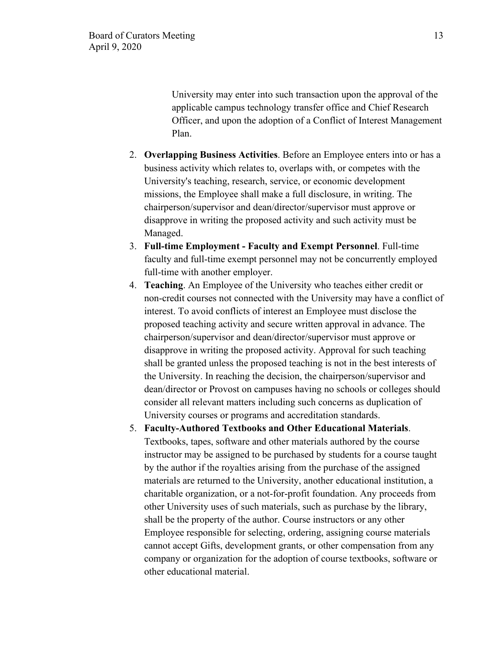University may enter into such transaction upon the approval of the applicable campus technology transfer office and Chief Research Officer, and upon the adoption of a Conflict of Interest Management Plan.

- 2. **Overlapping Business Activities**. Before an Employee enters into or has a business activity which relates to, overlaps with, or competes with the University's teaching, research, service, or economic development missions, the Employee shall make a full disclosure, in writing. The chairperson/supervisor and dean/director/supervisor must approve or disapprove in writing the proposed activity and such activity must be Managed.
- 3. **Full-time Employment Faculty and Exempt Personnel**. Full-time faculty and full-time exempt personnel may not be concurrently employed full-time with another employer.
- 4. **Teaching**. An Employee of the University who teaches either credit or non-credit courses not connected with the University may have a conflict of interest. To avoid conflicts of interest an Employee must disclose the proposed teaching activity and secure written approval in advance. The chairperson/supervisor and dean/director/supervisor must approve or disapprove in writing the proposed activity. Approval for such teaching shall be granted unless the proposed teaching is not in the best interests of the University. In reaching the decision, the chairperson/supervisor and dean/director or Provost on campuses having no schools or colleges should consider all relevant matters including such concerns as duplication of University courses or programs and accreditation standards.
- 5. **Faculty-Authored Textbooks and Other Educational Materials**. Textbooks, tapes, software and other materials authored by the course instructor may be assigned to be purchased by students for a course taught by the author if the royalties arising from the purchase of the assigned materials are returned to the University, another educational institution, a charitable organization, or a not-for-profit foundation. Any proceeds from other University uses of such materials, such as purchase by the library, shall be the property of the author. Course instructors or any other Employee responsible for selecting, ordering, assigning course materials cannot accept Gifts, development grants, or other compensation from any company or organization for the adoption of course textbooks, software or other educational material.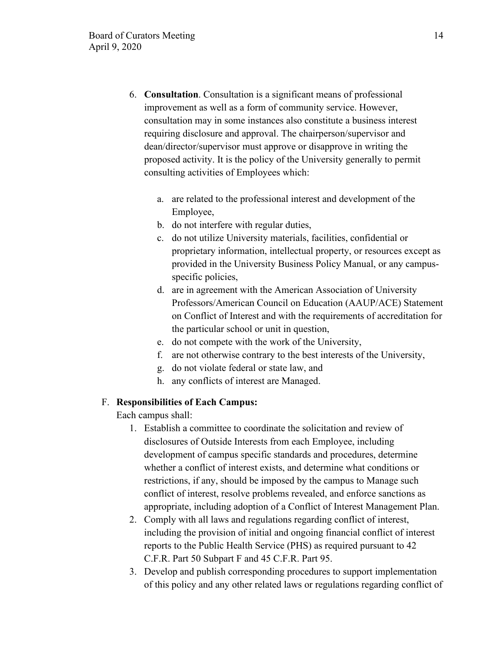- 6. **Consultation**. Consultation is a significant means of professional improvement as well as a form of community service. However, consultation may in some instances also constitute a business interest requiring disclosure and approval. The chairperson/supervisor and dean/director/supervisor must approve or disapprove in writing the proposed activity. It is the policy of the University generally to permit consulting activities of Employees which:
	- a. are related to the professional interest and development of the Employee,
	- b. do not interfere with regular duties,
	- c. do not utilize University materials, facilities, confidential or proprietary information, intellectual property, or resources except as provided in the University Business Policy Manual, or any campusspecific policies,
	- d. are in agreement with the American Association of University Professors/American Council on Education (AAUP/ACE) Statement on Conflict of Interest and with the requirements of accreditation for the particular school or unit in question,
	- e. do not compete with the work of the University,
	- f. are not otherwise contrary to the best interests of the University,
	- g. do not violate federal or state law, and
	- h. any conflicts of interest are Managed.

### F. **Responsibilities of Each Campus:**

Each campus shall:

- 1. Establish a committee to coordinate the solicitation and review of disclosures of Outside Interests from each Employee, including development of campus specific standards and procedures, determine whether a conflict of interest exists, and determine what conditions or restrictions, if any, should be imposed by the campus to Manage such conflict of interest, resolve problems revealed, and enforce sanctions as appropriate, including adoption of a Conflict of Interest Management Plan.
- 2. Comply with all laws and regulations regarding conflict of interest, including the provision of initial and ongoing financial conflict of interest reports to the Public Health Service (PHS) as required pursuant to 42 C.F.R. Part 50 Subpart F and 45 C.F.R. Part 95.
- 3. Develop and publish corresponding procedures to support implementation of this policy and any other related laws or regulations regarding conflict of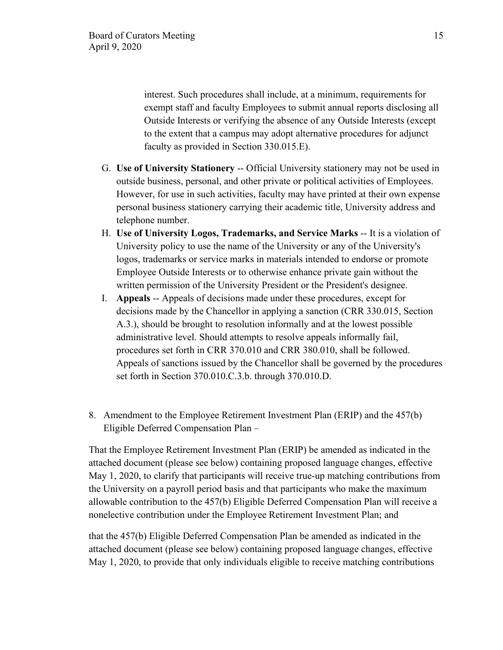interest. Such procedures shall include, at a minimum, requirements for exempt staff and faculty Employees to submit annual reports disclosing all Outside Interests or verifying the absence of any Outside Interests (except to the extent that a campus may adopt alternative procedures for adjunct faculty as provided in Section 330.015.E).

- G. **Use of University Stationery** -- Official University stationery may not be used in outside business, personal, and other private or political activities of Employees. However, for use in such activities, faculty may have printed at their own expense personal business stationery carrying their academic title, University address and telephone number.
- H. **Use of University Logos, Trademarks, and Service Marks** -- It is a violation of University policy to use the name of the University or any of the University's logos, trademarks or service marks in materials intended to endorse or promote Employee Outside Interests or to otherwise enhance private gain without the written permission of the University President or the President's designee.
- I. **Appeals** -- Appeals of decisions made under these procedures, except for decisions made by the Chancellor in applying a sanction (CRR 330.015, Section A.3.), should be brought to resolution informally and at the lowest possible administrative level. Should attempts to resolve appeals informally fail, procedures set forth in CRR 370.010 and CRR 380.010, shall be followed. Appeals of sanctions issued by the Chancellor shall be governed by the procedures set forth in Section 370.010.C.3.b. through 370.010.D.
- 8. Amendment to the Employee Retirement Investment Plan (ERIP) and the 457(b) Eligible Deferred Compensation Plan –

That the Employee Retirement Investment Plan (ERIP) be amended as indicated in the attached document (please see below) containing proposed language changes, effective May 1, 2020, to clarify that participants will receive true-up matching contributions from the University on a payroll period basis and that participants who make the maximum allowable contribution to the 457(b) Eligible Deferred Compensation Plan will receive a nonelective contribution under the Employee Retirement Investment Plan; and

that the 457(b) Eligible Deferred Compensation Plan be amended as indicated in the attached document (please see below) containing proposed language changes, effective May 1, 2020, to provide that only individuals eligible to receive matching contributions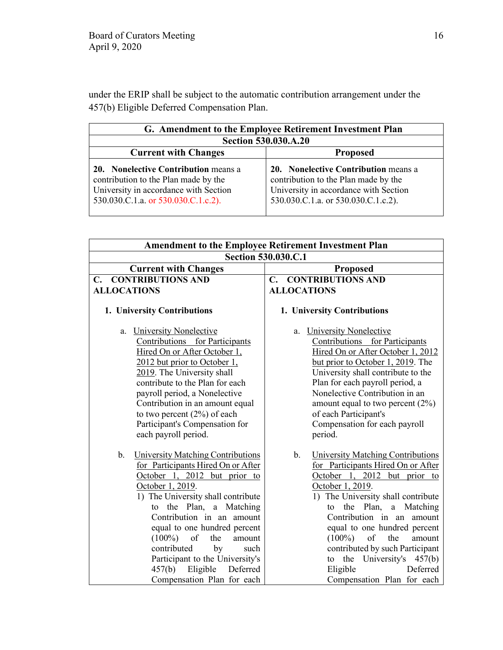under the ERIP shall be subject to the automatic contribution arrangement under the 457(b) Eligible Deferred Compensation Plan.

| G. Amendment to the Employee Retirement Investment Plan                                                                                                             |                                                                                                                                                              |  |  |
|---------------------------------------------------------------------------------------------------------------------------------------------------------------------|--------------------------------------------------------------------------------------------------------------------------------------------------------------|--|--|
| <b>Section 530.030.A.20</b>                                                                                                                                         |                                                                                                                                                              |  |  |
| <b>Current with Changes</b>                                                                                                                                         | <b>Proposed</b>                                                                                                                                              |  |  |
| <b>20. Nonelective Contribution means a</b><br>contribution to the Plan made by the<br>University in accordance with Section<br>530.030.C.1.a. or 530.030.C.1.c.2). | 20. Nonelective Contribution means a<br>contribution to the Plan made by the<br>University in accordance with Section<br>530.030.C.1.a. or 530.030.C.1.c.2). |  |  |

| <b>Amendment to the Employee Retirement Investment Plan</b>                                                                                                                                                                                                                                                                                                                                                                                           |                                                                                                                                                                                                                                                                                                                                                                                                                                            |  |  |  |  |
|-------------------------------------------------------------------------------------------------------------------------------------------------------------------------------------------------------------------------------------------------------------------------------------------------------------------------------------------------------------------------------------------------------------------------------------------------------|--------------------------------------------------------------------------------------------------------------------------------------------------------------------------------------------------------------------------------------------------------------------------------------------------------------------------------------------------------------------------------------------------------------------------------------------|--|--|--|--|
| Section 530.030.C.1                                                                                                                                                                                                                                                                                                                                                                                                                                   |                                                                                                                                                                                                                                                                                                                                                                                                                                            |  |  |  |  |
| <b>Current with Changes</b>                                                                                                                                                                                                                                                                                                                                                                                                                           | <b>Proposed</b>                                                                                                                                                                                                                                                                                                                                                                                                                            |  |  |  |  |
| <b>CONTRIBUTIONS AND</b><br>C.                                                                                                                                                                                                                                                                                                                                                                                                                        | <b>C. CONTRIBUTIONS AND</b>                                                                                                                                                                                                                                                                                                                                                                                                                |  |  |  |  |
| <b>ALLOCATIONS</b>                                                                                                                                                                                                                                                                                                                                                                                                                                    | <b>ALLOCATIONS</b>                                                                                                                                                                                                                                                                                                                                                                                                                         |  |  |  |  |
| 1. University Contributions                                                                                                                                                                                                                                                                                                                                                                                                                           | 1. University Contributions                                                                                                                                                                                                                                                                                                                                                                                                                |  |  |  |  |
| <b>University Nonelective</b><br>a.<br>Contributions for Participants<br>Hired On or After October 1,<br>2012 but prior to October 1,<br>2019. The University shall<br>contribute to the Plan for each<br>payroll period, a Nonelective<br>Contribution in an amount equal<br>to two percent $(2%)$ of each<br>Participant's Compensation for<br>each payroll period.                                                                                 | <b>University Nonelective</b><br>a.<br>Contributions for Participants<br>Hired On or After October 1, 2012<br>but prior to October 1, 2019. The<br>University shall contribute to the<br>Plan for each payroll period, a<br>Nonelective Contribution in an<br>amount equal to two percent $(2%)$<br>of each Participant's<br>Compensation for each payroll<br>period.                                                                      |  |  |  |  |
| $\mathbf b$ .<br><b>University Matching Contributions</b><br>for Participants Hired On or After<br>October 1, 2012 but prior to<br>October 1, 2019.<br>1) The University shall contribute<br>the Plan, a Matching<br>to<br>Contribution in an amount<br>equal to one hundred percent<br>$(100\%)$ of<br>the<br>amount<br>contributed<br>by<br>such<br>Participant to the University's<br>457(b)<br>Eligible<br>Deferred<br>Compensation Plan for each | <b>University Matching Contributions</b><br>b.<br>for Participants Hired On or After<br>October 1, 2012 but prior to<br>October 1, 2019.<br>1) The University shall contribute<br>the Plan,<br>a Matching<br>to<br>Contribution in an amount<br>equal to one hundred percent<br>of<br>$(100\%)$<br>the<br>amount<br>contributed by such Participant<br>the University's 457(b)<br>to<br>Deferred<br>Eligible<br>Compensation Plan for each |  |  |  |  |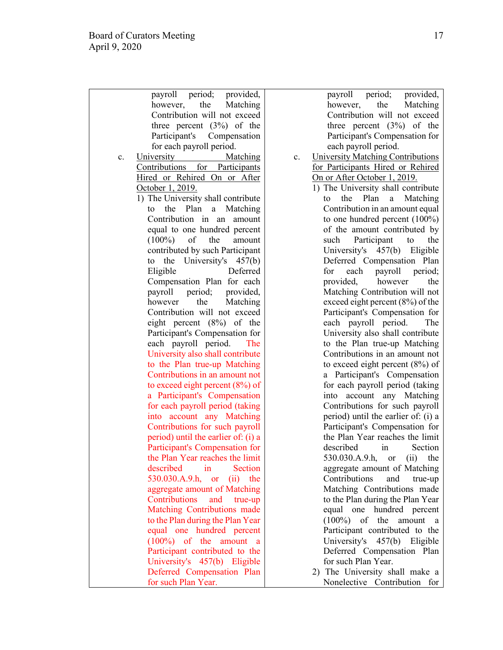| payroll period; provided,           |    |
|-------------------------------------|----|
| however, the<br>Matching            |    |
| Contribution will not exceed        |    |
|                                     |    |
| three percent $(3%)$ of the         |    |
| Participant's<br>Compensation       |    |
| for each payroll period.            |    |
| University<br>Matching<br>c.        | c. |
| Contributions for Participants      |    |
| Hired or Rehired On or After        |    |
| October 1, 2019.                    |    |
| 1) The University shall contribute  |    |
|                                     |    |
| to the Plan a Matching              |    |
| Contribution in<br>amount<br>an     |    |
| equal to one hundred percent        |    |
| $(100\%)$<br>of<br>the<br>amount    |    |
| contributed by such Participant     |    |
| University's<br>the<br>457(b)<br>to |    |
| Eligible<br>Deferred                |    |
|                                     |    |
| Compensation Plan for each          |    |
| payroll period; provided,           |    |
| the<br>Matching<br>however          |    |
| Contribution will not exceed        |    |
| eight percent (8%) of the           |    |
| Participant's Compensation for      |    |
| each payroll period.<br>The         |    |
|                                     |    |
| University also shall contribute    |    |
| to the Plan true-up Matching        |    |
| Contributions in an amount not      |    |
| to exceed eight percent $(8\%)$ of  |    |
| a Participant's Compensation        |    |
| for each payroll period (taking     |    |
| into account any Matching           |    |
|                                     |    |
| Contributions for such payroll      |    |
| period) until the earlier of: (i) a |    |
| Participant's Compensation for      |    |
| the Plan Year reaches the limit     |    |
| described<br>in<br><b>Section</b>   |    |
| 530.030.A.9.h, or (ii) the          |    |
| aggregate amount of Matching        |    |
| Contributions<br>and true-up        |    |
|                                     |    |
| Matching Contributions made         |    |
| to the Plan during the Plan Year    |    |
| equal one hundred percent           |    |
| $(100\%)$<br>of the amount<br>a     |    |
| Participant contributed to the      |    |
| University's 457(b) Eligible        |    |
| Deferred Compensation Plan          |    |
|                                     |    |
| for such Plan Year.                 |    |

payroll period; provided, however, the Matching Contribution will not exceed three percent (3%) of the Participant's Compensation for each payroll period.

- University Matching Contributions for Participants Hired or Rehired On or After October 1, 2019.
	- 1) The University shall contribute to the Plan a Matching Contribution in an amount equal to one hundred percent (100%) of the amount contributed by such Participant to the University's 457(b) Eligible Deferred Compensation Plan<br>for each payroll period: for each payroll provided, however the Matching Contribution will not exceed eight percent (8%) of the Participant's Compensation for each payroll period. The University also shall contribute to the Plan true-up Matching Contributions in an amount not to exceed eight percent (8%) of a Participant's Compensation for each payroll period (taking into account any Matching Contributions for such payroll period) until the earlier of: (i) a Participant's Compensation for the Plan Year reaches the limit described in Section 530.030.A.9.h, or (ii) the aggregate amount of Matching Contributions and true-up Matching Contributions made to the Plan during the Plan Year equal one hundred percent (100%) of the amount a Participant contributed to the University's 457(b) Eligible Deferred Compensation Plan for such Plan Year.
	- 2) The University shall make a Nonelective Contribution for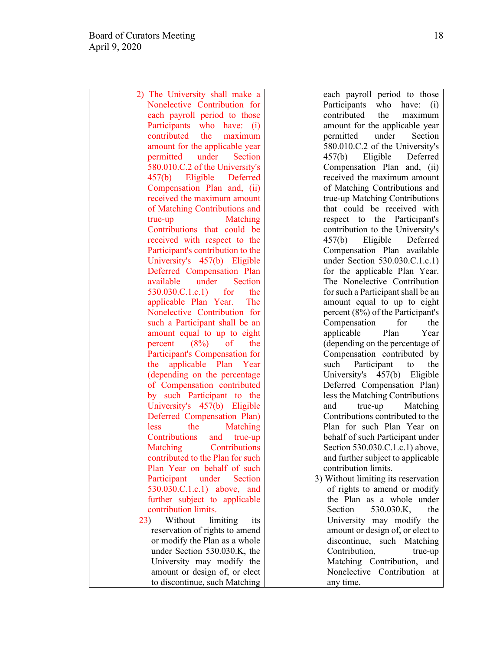2) The University shall make a Nonelective Contribution for each payroll period to those Participants who have: (i) contributed the maximum amount for the applicable year permitted under Section 580.010.C.2 of the University's 457(b) Eligible Deferred Compensation Plan and, (ii) received the maximum amount of Matching Contributions and true-up Matching Contributions that could be received with respect to the Participant's contribution to the University's 457(b) Eligible Deferred Compensation Plan available under Section 530.030.C.1.c.1) for the applicable Plan Year. The Nonelective Contribution for such a Participant shall be an amount equal to up to eight percent  $(8\%)$  of the Participant's Compensation for the applicable Plan Year (depending on the percentage of Compensation contributed by such Participant to the University's 457(b) Eligible Deferred Compensation Plan) less the Matching Contributions and true-up Matching Contributions contributed to the Plan for such Plan Year on behalf of such Participant under Section 530.030.C.1.c.1) above, and further subject to applicable contribution limits. 23) Without limiting its reservation of rights to amend or modify the Plan as a whole under Section 530.030.K, the University may modify the amount or design of, or elect

to discontinue, such Matching

each payroll period to those Participants who have: (i) contributed the maximum amount for the applicable year permitted under Section 580.010.C.2 of the University's 457(b) Eligible Deferred Compensation Plan and, (ii) received the maximum amount of Matching Contributions and true-up Matching Contributions that could be received with respect to the Participant's contribution to the University's 457(b) Eligible Deferred Compensation Plan available under Section 530.030.C.1.c.1) for the applicable Plan Year. The Nonelective Contribution for such a Participant shall be an amount equal to up to eight percent (8%) of the Participant's Compensation for the applicable Plan Year (depending on the percentage of Compensation contributed by such Participant to the University's 457(b) Eligible Deferred Compensation Plan) less the Matching Contributions and true-up Matching Contributions contributed to the Plan for such Plan Year on behalf of such Participant under Section 530.030.C.1.c.1) above, and further subject to applicable contribution limits. 3) Without limiting its reservation

of rights to amend or modify the Plan as a whole under Section 530.030.K, the University may modify the amount or design of, or elect to discontinue, such Matching Contribution, true-up Matching Contribution, and Nonelective Contribution at any time.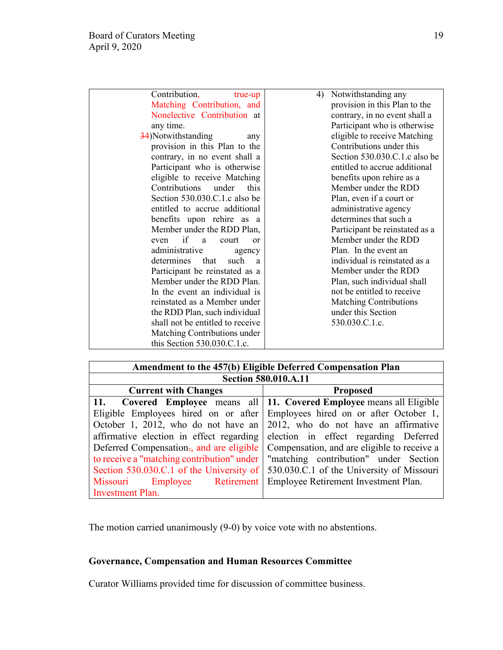| Contribution,<br>true-up         | Notwithstanding any<br>4)      |
|----------------------------------|--------------------------------|
| Matching Contribution, and       | provision in this Plan to the  |
| Nonelective Contribution at      | contrary, in no event shall a  |
| any time.                        | Participant who is otherwise   |
| 34) Notwithstanding<br>any       | eligible to receive Matching   |
| provision in this Plan to the    | Contributions under this       |
| contrary, in no event shall a    | Section 530.030.C.1.c also be  |
| Participant who is otherwise     | entitled to accrue additional  |
| eligible to receive Matching     | benefits upon rehire as a      |
| Contributions<br>under<br>this   | Member under the RDD           |
| Section 530.030.C.1.c also be    | Plan, even if a court or       |
| entitled to accrue additional    | administrative agency          |
| benefits upon rehire as a        | determines that such a         |
| Member under the RDD Plan,       | Participant be reinstated as a |
| even if a<br>court<br>or         | Member under the RDD           |
| administrative<br>agency         | Plan. In the event an          |
| determines that<br>such a        | individual is reinstated as a  |
| Participant be reinstated as a   | Member under the RDD           |
| Member under the RDD Plan.       | Plan, such individual shall    |
| In the event an individual is    | not be entitled to receive     |
| reinstated as a Member under     | <b>Matching Contributions</b>  |
| the RDD Plan, such individual    | under this Section             |
| shall not be entitled to receive | 530.030.C.1.c.                 |
| Matching Contributions under     |                                |
| this Section $530.030$ .C.1.c.   |                                |

| Amendment to the 457(b) Eligible Deferred Compensation Plan       |                                                                                  |  |  |  |
|-------------------------------------------------------------------|----------------------------------------------------------------------------------|--|--|--|
| Section 580.010.A.11                                              |                                                                                  |  |  |  |
| <b>Current with Changes</b>                                       | <b>Proposed</b>                                                                  |  |  |  |
|                                                                   | 11. Covered Employee means all   11. Covered Employee means all Eligible         |  |  |  |
|                                                                   | Eligible Employees hired on or after Employees hired on or after October 1,      |  |  |  |
|                                                                   | October 1, 2012, who do not have an $\vert$ 2012, who do not have an affirmative |  |  |  |
|                                                                   | affirmative election in effect regarding election in effect regarding Deferred   |  |  |  |
| Deferred Compensation., and are eligible                          | Compensation, and are eligible to receive a                                      |  |  |  |
| to receive a "matching contribution" under                        | "matching contribution" under Section                                            |  |  |  |
| Section 530.030.C.1 of the University of                          | 530.030.C.1 of the University of Missouri                                        |  |  |  |
| Missouri Employee Retirement Employee Retirement Investment Plan. |                                                                                  |  |  |  |
| <b>Investment Plan.</b>                                           |                                                                                  |  |  |  |

The motion carried unanimously (9-0) by voice vote with no abstentions.

# **Governance, Compensation and Human Resources Committee**

Curator Williams provided time for discussion of committee business.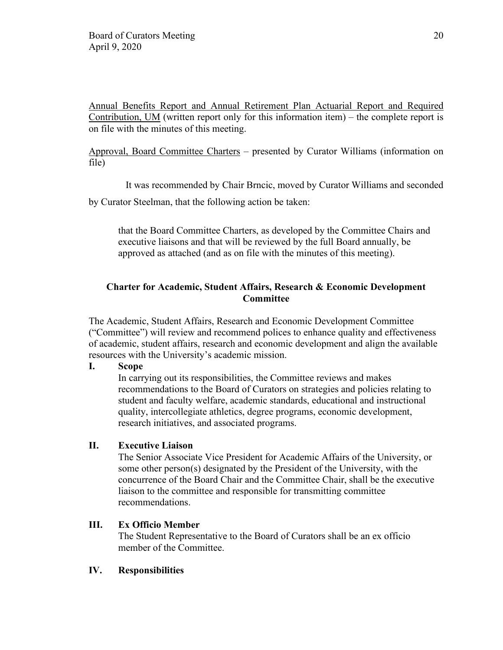Annual Benefits Report and Annual Retirement Plan Actuarial Report and Required Contribution, UM (written report only for this information item) – the complete report is on file with the minutes of this meeting.

Approval, Board Committee Charters – presented by Curator Williams (information on file)

It was recommended by Chair Brncic, moved by Curator Williams and seconded

by Curator Steelman, that the following action be taken:

that the Board Committee Charters, as developed by the Committee Chairs and executive liaisons and that will be reviewed by the full Board annually, be approved as attached (and as on file with the minutes of this meeting).

# **Charter for Academic, Student Affairs, Research & Economic Development Committee**

The Academic, Student Affairs, Research and Economic Development Committee ("Committee") will review and recommend polices to enhance quality and effectiveness of academic, student affairs, research and economic development and align the available resources with the University's academic mission.

**I. Scope** 

In carrying out its responsibilities, the Committee reviews and makes recommendations to the Board of Curators on strategies and policies relating to student and faculty welfare, academic standards, educational and instructional quality, intercollegiate athletics, degree programs, economic development, research initiatives, and associated programs.

# **II. Executive Liaison**

The Senior Associate Vice President for Academic Affairs of the University, or some other person(s) designated by the President of the University, with the concurrence of the Board Chair and the Committee Chair, shall be the executive liaison to the committee and responsible for transmitting committee recommendations.

### **III. Ex Officio Member**

The Student Representative to the Board of Curators shall be an ex officio member of the Committee.

### **IV. Responsibilities**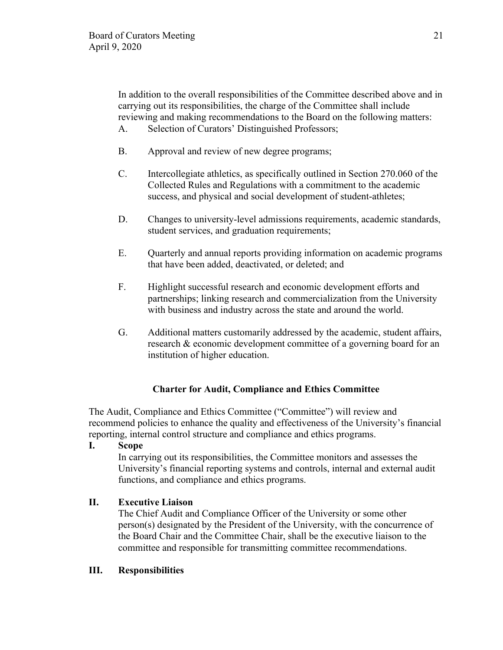In addition to the overall responsibilities of the Committee described above and in carrying out its responsibilities, the charge of the Committee shall include reviewing and making recommendations to the Board on the following matters: A. Selection of Curators' Distinguished Professors;

- B. Approval and review of new degree programs;
- C. Intercollegiate athletics, as specifically outlined in Section 270.060 of the Collected Rules and Regulations with a commitment to the academic success, and physical and social development of student-athletes;
- D. Changes to university-level admissions requirements, academic standards, student services, and graduation requirements;
- E. Quarterly and annual reports providing information on academic programs that have been added, deactivated, or deleted; and
- F. Highlight successful research and economic development efforts and partnerships; linking research and commercialization from the University with business and industry across the state and around the world.
- G. Additional matters customarily addressed by the academic, student affairs, research & economic development committee of a governing board for an institution of higher education.

# **Charter for Audit, Compliance and Ethics Committee**

The Audit, Compliance and Ethics Committee ("Committee") will review and recommend policies to enhance the quality and effectiveness of the University's financial reporting, internal control structure and compliance and ethics programs.

**I. Scope**

In carrying out its responsibilities, the Committee monitors and assesses the University's financial reporting systems and controls, internal and external audit functions, and compliance and ethics programs.

# **II. Executive Liaison**

The Chief Audit and Compliance Officer of the University or some other person(s) designated by the President of the University, with the concurrence of the Board Chair and the Committee Chair, shall be the executive liaison to the committee and responsible for transmitting committee recommendations.

### **III. Responsibilities**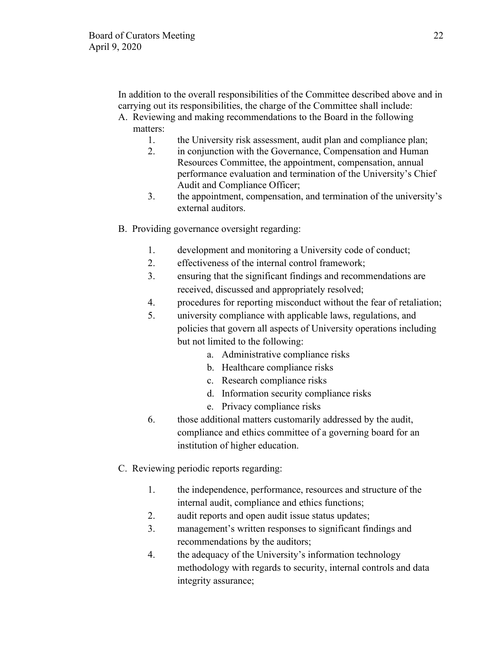In addition to the overall responsibilities of the Committee described above and in carrying out its responsibilities, the charge of the Committee shall include:

- A. Reviewing and making recommendations to the Board in the following matters:
	- 1. the University risk assessment, audit plan and compliance plan;
	- 2. in conjunction with the Governance, Compensation and Human Resources Committee, the appointment, compensation, annual performance evaluation and termination of the University's Chief Audit and Compliance Officer;
	- 3. the appointment, compensation, and termination of the university's external auditors.
- B. Providing governance oversight regarding:
	- 1. development and monitoring a University code of conduct;
	- 2. effectiveness of the internal control framework;
	- 3. ensuring that the significant findings and recommendations are received, discussed and appropriately resolved;
	- 4. procedures for reporting misconduct without the fear of retaliation;
	- 5. university compliance with applicable laws, regulations, and policies that govern all aspects of University operations including but not limited to the following:
		- a. Administrative compliance risks
		- b. Healthcare compliance risks
		- c. Research compliance risks
		- d. Information security compliance risks
		- e. Privacy compliance risks
	- 6. those additional matters customarily addressed by the audit, compliance and ethics committee of a governing board for an institution of higher education.
- C. Reviewing periodic reports regarding:
	- 1. the independence, performance, resources and structure of the internal audit, compliance and ethics functions;
	- 2. audit reports and open audit issue status updates;
	- 3. management's written responses to significant findings and recommendations by the auditors;
	- 4. the adequacy of the University's information technology methodology with regards to security, internal controls and data integrity assurance;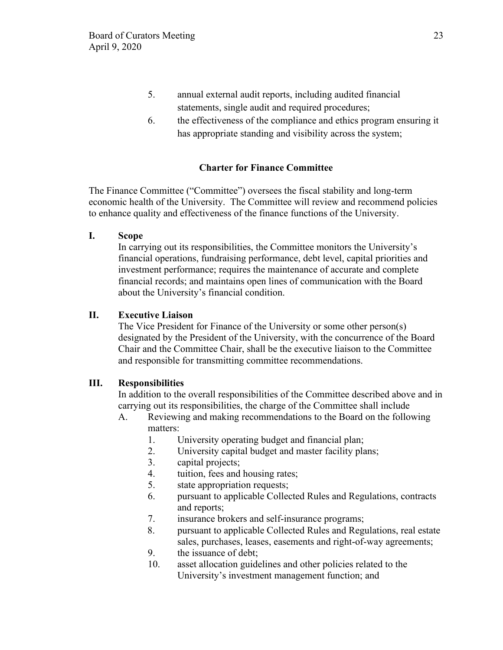- 5. annual external audit reports, including audited financial statements, single audit and required procedures;
- 6. the effectiveness of the compliance and ethics program ensuring it has appropriate standing and visibility across the system;

# **Charter for Finance Committee**

The Finance Committee ("Committee") oversees the fiscal stability and long-term economic health of the University. The Committee will review and recommend policies to enhance quality and effectiveness of the finance functions of the University.

**I. Scope**

In carrying out its responsibilities, the Committee monitors the University's financial operations, fundraising performance, debt level, capital priorities and investment performance; requires the maintenance of accurate and complete financial records; and maintains open lines of communication with the Board about the University's financial condition.

## **II. Executive Liaison**

The Vice President for Finance of the University or some other person(s) designated by the President of the University, with the concurrence of the Board Chair and the Committee Chair, shall be the executive liaison to the Committee and responsible for transmitting committee recommendations.

### **III. Responsibilities**

In addition to the overall responsibilities of the Committee described above and in carrying out its responsibilities, the charge of the Committee shall include

- A. Reviewing and making recommendations to the Board on the following matters:
	- 1. University operating budget and financial plan;
	- 2. University capital budget and master facility plans;
	- 3. capital projects;
	- 4. tuition, fees and housing rates;
	- 5. state appropriation requests;
	- 6. pursuant to applicable Collected Rules and Regulations, contracts and reports;
	- 7. insurance brokers and self-insurance programs;
	- 8. pursuant to applicable Collected Rules and Regulations, real estate sales, purchases, leases, easements and right-of-way agreements;
	- 9. the issuance of debt;
	- 10. asset allocation guidelines and other policies related to the University's investment management function; and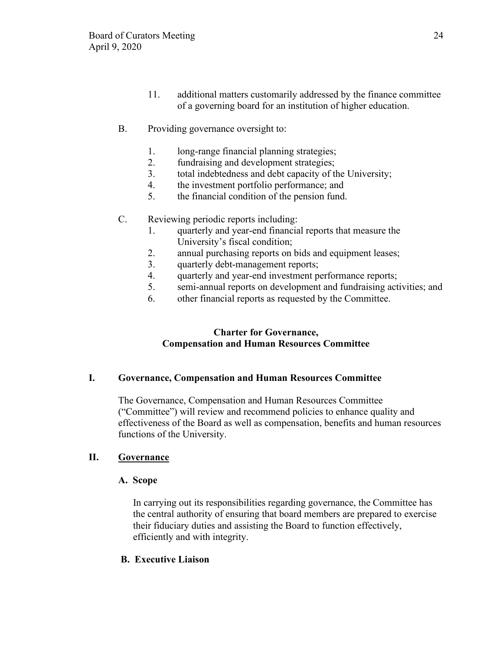- 11. additional matters customarily addressed by the finance committee of a governing board for an institution of higher education.
- B. Providing governance oversight to:
	- 1. long-range financial planning strategies;
	- 2. fundraising and development strategies;
	- 3. total indebtedness and debt capacity of the University;
	- 4. the investment portfolio performance; and
	- 5. the financial condition of the pension fund.
- C. Reviewing periodic reports including:
	- 1. quarterly and year-end financial reports that measure the University's fiscal condition;
	- 2. annual purchasing reports on bids and equipment leases;
	- 3. quarterly debt-management reports;
	- 4. quarterly and year-end investment performance reports;
	- 5. semi-annual reports on development and fundraising activities; and
	- 6. other financial reports as requested by the Committee.

# **Charter for Governance, Compensation and Human Resources Committee**

### **I. Governance, Compensation and Human Resources Committee**

 The Governance, Compensation and Human Resources Committee ("Committee") will review and recommend policies to enhance quality and effectiveness of the Board as well as compensation, benefits and human resources functions of the University.

# **II. Governance**

### **A. Scope**

In carrying out its responsibilities regarding governance, the Committee has the central authority of ensuring that board members are prepared to exercise their fiduciary duties and assisting the Board to function effectively, efficiently and with integrity.

# **B. Executive Liaison**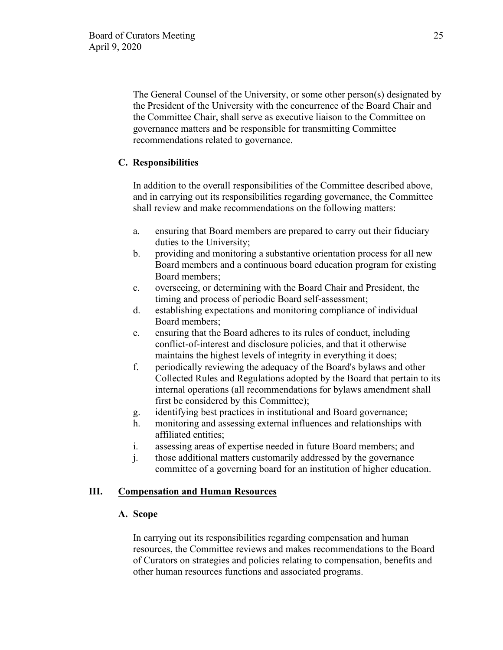The General Counsel of the University, or some other person(s) designated by the President of the University with the concurrence of the Board Chair and the Committee Chair, shall serve as executive liaison to the Committee on governance matters and be responsible for transmitting Committee recommendations related to governance.

# **C. Responsibilities**

In addition to the overall responsibilities of the Committee described above, and in carrying out its responsibilities regarding governance, the Committee shall review and make recommendations on the following matters:

- a. ensuring that Board members are prepared to carry out their fiduciary duties to the University;
- b. providing and monitoring a substantive orientation process for all new Board members and a continuous board education program for existing Board members;
- c. overseeing, or determining with the Board Chair and President, the timing and process of periodic Board self-assessment;
- d. establishing expectations and monitoring compliance of individual Board members;
- e. ensuring that the Board adheres to its rules of conduct, including conflict-of-interest and disclosure policies, and that it otherwise maintains the highest levels of integrity in everything it does;
- f. periodically reviewing the adequacy of the Board's bylaws and other Collected Rules and Regulations adopted by the Board that pertain to its internal operations (all recommendations for bylaws amendment shall first be considered by this Committee);
- g. identifying best practices in institutional and Board governance;
- h. monitoring and assessing external influences and relationships with affiliated entities;
- i. assessing areas of expertise needed in future Board members; and
- j. those additional matters customarily addressed by the governance committee of a governing board for an institution of higher education.

# **III. Compensation and Human Resources**

# **A. Scope**

In carrying out its responsibilities regarding compensation and human resources, the Committee reviews and makes recommendations to the Board of Curators on strategies and policies relating to compensation, benefits and other human resources functions and associated programs.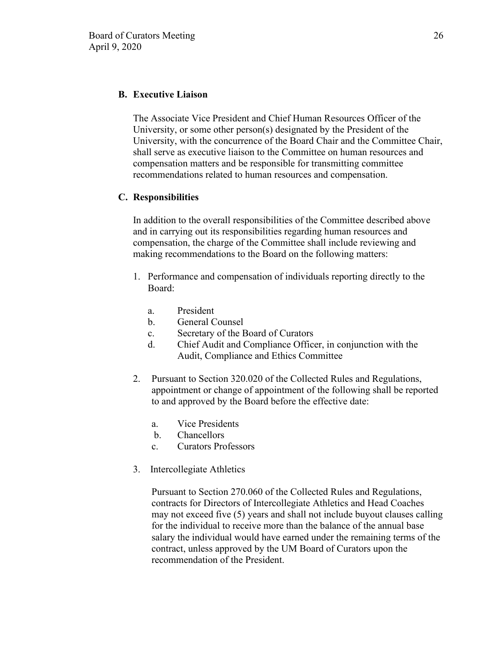### **B. Executive Liaison**

The Associate Vice President and Chief Human Resources Officer of the University, or some other person(s) designated by the President of the University, with the concurrence of the Board Chair and the Committee Chair, shall serve as executive liaison to the Committee on human resources and compensation matters and be responsible for transmitting committee recommendations related to human resources and compensation.

### **C. Responsibilities**

In addition to the overall responsibilities of the Committee described above and in carrying out its responsibilities regarding human resources and compensation, the charge of the Committee shall include reviewing and making recommendations to the Board on the following matters:

- 1. Performance and compensation of individuals reporting directly to the Board:
	- a. President
	- b. General Counsel
	- c. Secretary of the Board of Curators
	- d. Chief Audit and Compliance Officer, in conjunction with the Audit, Compliance and Ethics Committee
- 2. Pursuant to Section 320.020 of the Collected Rules and Regulations, appointment or change of appointment of the following shall be reported to and approved by the Board before the effective date:
	- a. Vice Presidents
	- b. Chancellors
	- c. Curators Professors
- 3. Intercollegiate Athletics

Pursuant to Section 270.060 of the Collected Rules and Regulations, contracts for Directors of Intercollegiate Athletics and Head Coaches may not exceed five (5) years and shall not include buyout clauses calling for the individual to receive more than the balance of the annual base salary the individual would have earned under the remaining terms of the contract, unless approved by the UM Board of Curators upon the recommendation of the President.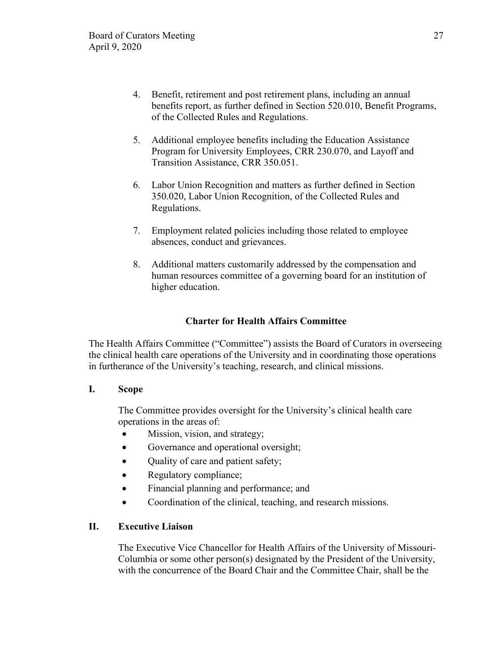- 4. Benefit, retirement and post retirement plans, including an annual benefits report, as further defined in Section 520.010, Benefit Programs, of the Collected Rules and Regulations.
- 5. Additional employee benefits including the Education Assistance Program for University Employees, CRR 230.070, and Layoff and Transition Assistance, CRR 350.051.
- 6. Labor Union Recognition and matters as further defined in Section 350.020, Labor Union Recognition, of the Collected Rules and Regulations.
- 7. Employment related policies including those related to employee absences, conduct and grievances.
- 8. Additional matters customarily addressed by the compensation and human resources committee of a governing board for an institution of higher education.

# **Charter for Health Affairs Committee**

The Health Affairs Committee ("Committee") assists the Board of Curators in overseeing the clinical health care operations of the University and in coordinating those operations in furtherance of the University's teaching, research, and clinical missions.

# **I. Scope**

The Committee provides oversight for the University's clinical health care operations in the areas of:

- Mission, vision, and strategy;
- Governance and operational oversight;
- Ouality of care and patient safety;
- Regulatory compliance;
- Financial planning and performance; and
- Coordination of the clinical, teaching, and research missions.

# **II. Executive Liaison**

The Executive Vice Chancellor for Health Affairs of the University of Missouri-Columbia or some other person(s) designated by the President of the University, with the concurrence of the Board Chair and the Committee Chair, shall be the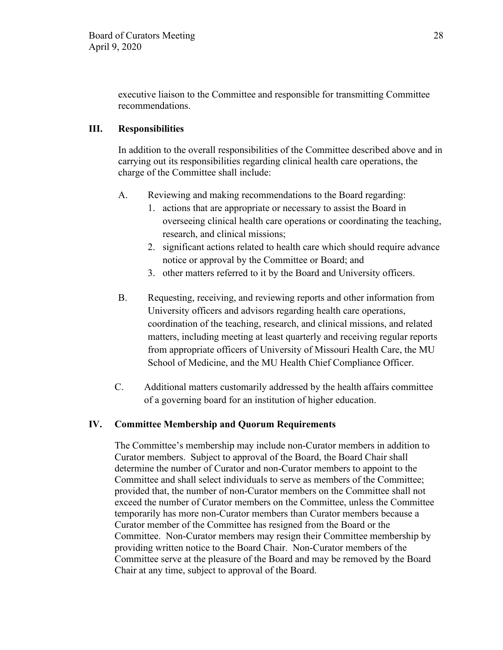executive liaison to the Committee and responsible for transmitting Committee recommendations.

# **III. Responsibilities**

In addition to the overall responsibilities of the Committee described above and in carrying out its responsibilities regarding clinical health care operations, the charge of the Committee shall include:

- A. Reviewing and making recommendations to the Board regarding:
	- 1. actions that are appropriate or necessary to assist the Board in overseeing clinical health care operations or coordinating the teaching, research, and clinical missions;
	- 2. significant actions related to health care which should require advance notice or approval by the Committee or Board; and
	- 3. other matters referred to it by the Board and University officers.
- B. Requesting, receiving, and reviewing reports and other information from University officers and advisors regarding health care operations, coordination of the teaching, research, and clinical missions, and related matters, including meeting at least quarterly and receiving regular reports from appropriate officers of University of Missouri Health Care, the MU School of Medicine, and the MU Health Chief Compliance Officer.
- C. Additional matters customarily addressed by the health affairs committee of a governing board for an institution of higher education.

# **IV. Committee Membership and Quorum Requirements**

The Committee's membership may include non-Curator members in addition to Curator members. Subject to approval of the Board, the Board Chair shall determine the number of Curator and non-Curator members to appoint to the Committee and shall select individuals to serve as members of the Committee; provided that, the number of non-Curator members on the Committee shall not exceed the number of Curator members on the Committee, unless the Committee temporarily has more non-Curator members than Curator members because a Curator member of the Committee has resigned from the Board or the Committee. Non-Curator members may resign their Committee membership by providing written notice to the Board Chair. Non-Curator members of the Committee serve at the pleasure of the Board and may be removed by the Board Chair at any time, subject to approval of the Board.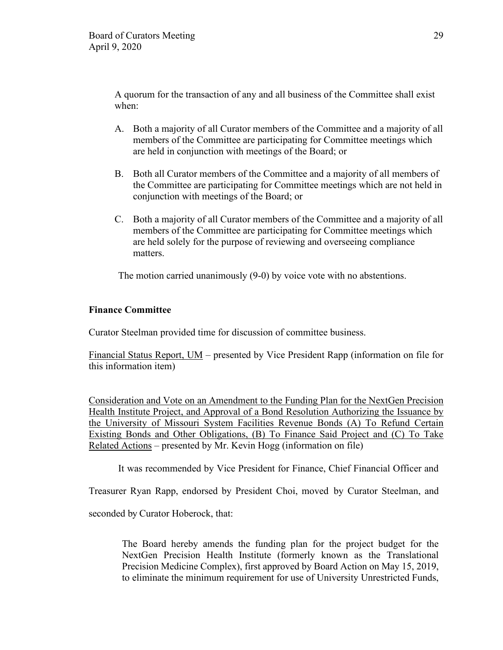A quorum for the transaction of any and all business of the Committee shall exist when:

- A. Both a majority of all Curator members of the Committee and a majority of all members of the Committee are participating for Committee meetings which are held in conjunction with meetings of the Board; or
- B. Both all Curator members of the Committee and a majority of all members of the Committee are participating for Committee meetings which are not held in conjunction with meetings of the Board; or
- C. Both a majority of all Curator members of the Committee and a majority of all members of the Committee are participating for Committee meetings which are held solely for the purpose of reviewing and overseeing compliance matters.

The motion carried unanimously (9-0) by voice vote with no abstentions.

# **Finance Committee**

Curator Steelman provided time for discussion of committee business.

Financial Status Report, UM – presented by Vice President Rapp (information on file for this information item)

Consideration and Vote on an Amendment to the Funding Plan for the NextGen Precision Health Institute Project, and Approval of a Bond Resolution Authorizing the Issuance by the University of Missouri System Facilities Revenue Bonds (A) To Refund Certain Existing Bonds and Other Obligations, (B) To Finance Said Project and (C) To Take Related Actions – presented by Mr. Kevin Hogg (information on file)

It was recommended by Vice President for Finance, Chief Financial Officer and

Treasurer Ryan Rapp, endorsed by President Choi, moved by Curator Steelman, and

seconded by Curator Hoberock, that:

The Board hereby amends the funding plan for the project budget for the NextGen Precision Health Institute (formerly known as the Translational Precision Medicine Complex), first approved by Board Action on May 15, 2019, to eliminate the minimum requirement for use of University Unrestricted Funds,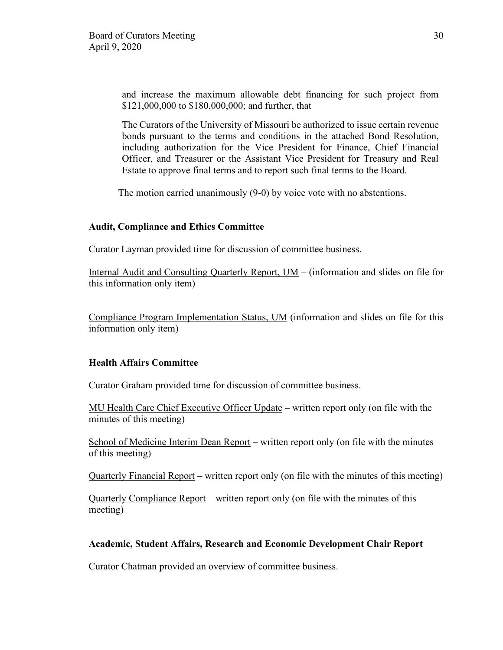and increase the maximum allowable debt financing for such project from \$121,000,000 to \$180,000,000; and further, that

The Curators of the University of Missouri be authorized to issue certain revenue bonds pursuant to the terms and conditions in the attached Bond Resolution, including authorization for the Vice President for Finance, Chief Financial Officer, and Treasurer or the Assistant Vice President for Treasury and Real Estate to approve final terms and to report such final terms to the Board.

The motion carried unanimously (9-0) by voice vote with no abstentions.

### **Audit, Compliance and Ethics Committee**

Curator Layman provided time for discussion of committee business.

Internal Audit and Consulting Quarterly Report, UM – (information and slides on file for this information only item)

Compliance Program Implementation Status, UM (information and slides on file for this information only item)

#### **Health Affairs Committee**

Curator Graham provided time for discussion of committee business.

MU Health Care Chief Executive Officer Update – written report only (on file with the minutes of this meeting)

School of Medicine Interim Dean Report – written report only (on file with the minutes of this meeting)

Quarterly Financial Report – written report only (on file with the minutes of this meeting)

Quarterly Compliance Report – written report only (on file with the minutes of this meeting)

### **Academic, Student Affairs, Research and Economic Development Chair Report**

Curator Chatman provided an overview of committee business.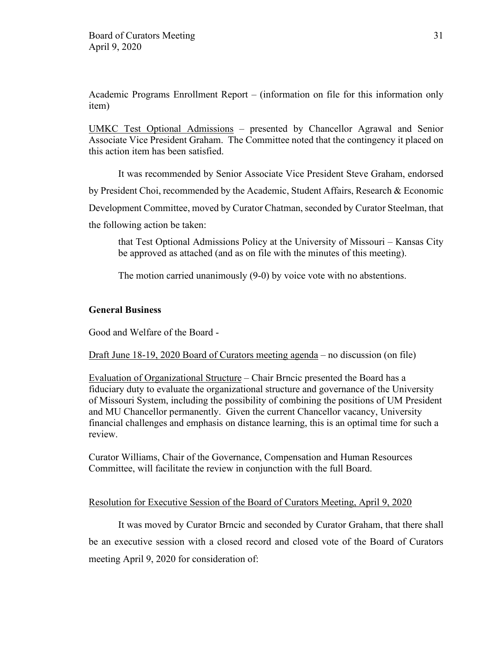Academic Programs Enrollment Report – (information on file for this information only item)

UMKC Test Optional Admissions – presented by Chancellor Agrawal and Senior Associate Vice President Graham. The Committee noted that the contingency it placed on this action item has been satisfied.

It was recommended by Senior Associate Vice President Steve Graham, endorsed by President Choi, recommended by the Academic, Student Affairs, Research & Economic Development Committee, moved by Curator Chatman, seconded by Curator Steelman, that the following action be taken:

that Test Optional Admissions Policy at the University of Missouri – Kansas City be approved as attached (and as on file with the minutes of this meeting).

The motion carried unanimously (9-0) by voice vote with no abstentions.

# **General Business**

Good and Welfare of the Board -

Draft June 18-19, 2020 Board of Curators meeting agenda – no discussion (on file)

Evaluation of Organizational Structure – Chair Brncic presented the Board has a fiduciary duty to evaluate the organizational structure and governance of the University of Missouri System, including the possibility of combining the positions of UM President and MU Chancellor permanently. Given the current Chancellor vacancy, University financial challenges and emphasis on distance learning, this is an optimal time for such a review.

Curator Williams, Chair of the Governance, Compensation and Human Resources Committee, will facilitate the review in conjunction with the full Board.

### Resolution for Executive Session of the Board of Curators Meeting, April 9, 2020

It was moved by Curator Brncic and seconded by Curator Graham, that there shall be an executive session with a closed record and closed vote of the Board of Curators meeting April 9, 2020 for consideration of: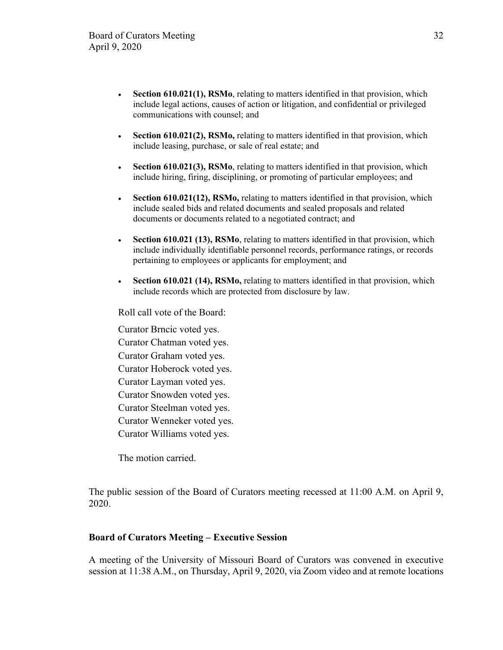- Section 610.021(1), RSMo, relating to matters identified in that provision, which include legal actions, causes of action or litigation, and confidential or privileged communications with counsel; and
- **Section 610.021(2), RSMo,** relating to matters identified in that provision, which include leasing, purchase, or sale of real estate; and
- **Section 610.021(3), RSMo**, relating to matters identified in that provision, which include hiring, firing, disciplining, or promoting of particular employees; and
- **Section 610.021(12), RSMo,** relating to matters identified in that provision, which include sealed bids and related documents and sealed proposals and related documents or documents related to a negotiated contract; and
- **Section 610.021 (13), RSMo**, relating to matters identified in that provision, which include individually identifiable personnel records, performance ratings, or records pertaining to employees or applicants for employment; and
- **Section 610.021 (14), RSMo,** relating to matters identified in that provision, which include records which are protected from disclosure by law.

Roll call vote of the Board:

Curator Brncic voted yes. Curator Chatman voted yes. Curator Graham voted yes. Curator Hoberock voted yes. Curator Layman voted yes. Curator Snowden voted yes. Curator Steelman voted yes. Curator Wenneker voted yes. Curator Williams voted yes.

The motion carried.

The public session of the Board of Curators meeting recessed at 11:00 A.M. on April 9, 2020.

#### **Board of Curators Meeting – Executive Session**

A meeting of the University of Missouri Board of Curators was convened in executive session at 11:38 A.M., on Thursday, April 9, 2020, via Zoom video and at remote locations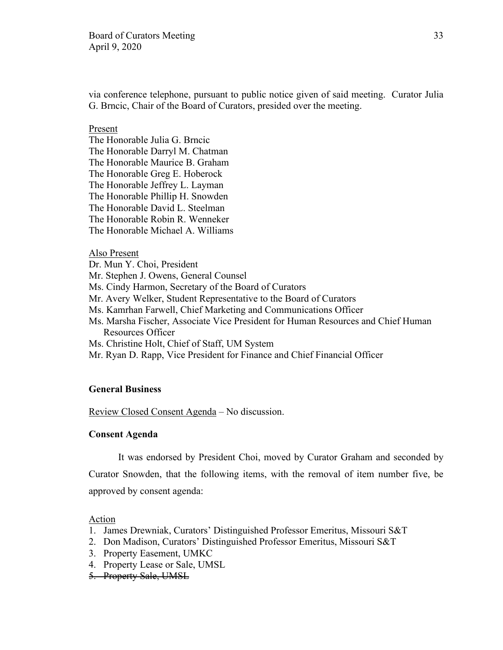via conference telephone, pursuant to public notice given of said meeting. Curator Julia G. Brncic, Chair of the Board of Curators, presided over the meeting.

#### Present

The Honorable Julia G. Brncic The Honorable Darryl M. Chatman The Honorable Maurice B. Graham The Honorable Greg E. Hoberock The Honorable Jeffrey L. Layman The Honorable Phillip H. Snowden The Honorable David L. Steelman The Honorable Robin R. Wenneker The Honorable Michael A. Williams

#### Also Present

Dr. Mun Y. Choi, President Mr. Stephen J. Owens, General Counsel Ms. Cindy Harmon, Secretary of the Board of Curators Mr. Avery Welker, Student Representative to the Board of Curators Ms. Kamrhan Farwell, Chief Marketing and Communications Officer Ms. Marsha Fischer, Associate Vice President for Human Resources and Chief Human Resources Officer Ms. Christine Holt, Chief of Staff, UM System Mr. Ryan D. Rapp, Vice President for Finance and Chief Financial Officer

#### **General Business**

Review Closed Consent Agenda – No discussion.

#### **Consent Agenda**

It was endorsed by President Choi, moved by Curator Graham and seconded by Curator Snowden, that the following items, with the removal of item number five, be approved by consent agenda:

#### Action

- 1. James Drewniak, Curators' Distinguished Professor Emeritus, Missouri S&T
- 2. Don Madison, Curators' Distinguished Professor Emeritus, Missouri S&T
- 3. Property Easement, UMKC
- 4. Property Lease or Sale, UMSL
- 5. Property Sale, UMSL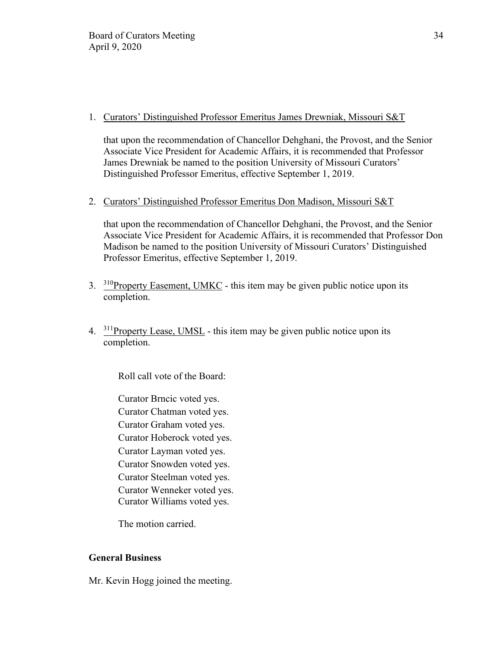# 1. Curators' Distinguished Professor Emeritus James Drewniak, Missouri S&T

that upon the recommendation of Chancellor Dehghani, the Provost, and the Senior Associate Vice President for Academic Affairs, it is recommended that Professor James Drewniak be named to the position University of Missouri Curators' Distinguished Professor Emeritus, effective September 1, 2019.

# 2. Curators' Distinguished Professor Emeritus Don Madison, Missouri S&T

that upon the recommendation of Chancellor Dehghani, the Provost, and the Senior Associate Vice President for Academic Affairs, it is recommended that Professor Don Madison be named to the position University of Missouri Curators' Distinguished Professor Emeritus, effective September 1, 2019.

- $3.$  <sup>310</sup>Property Easement, UMKC this item may be given public notice upon its completion.
- 4. 311Property Lease, UMSL this item may be given public notice upon its completion.

Roll call vote of the Board:

Curator Brncic voted yes. Curator Chatman voted yes. Curator Graham voted yes. Curator Hoberock voted yes. Curator Layman voted yes. Curator Snowden voted yes. Curator Steelman voted yes. Curator Wenneker voted yes. Curator Williams voted yes.

The motion carried.

# **General Business**

Mr. Kevin Hogg joined the meeting.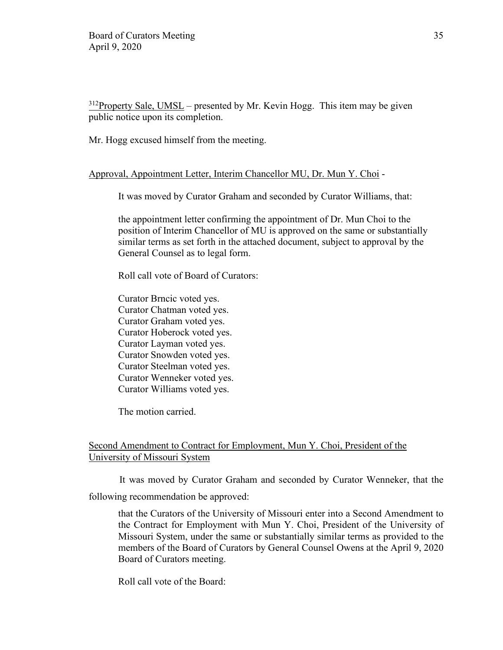$312$ Property Sale, UMSL – presented by Mr. Kevin Hogg. This item may be given public notice upon its completion.

Mr. Hogg excused himself from the meeting.

### Approval, Appointment Letter, Interim Chancellor MU, Dr. Mun Y. Choi -

It was moved by Curator Graham and seconded by Curator Williams, that:

the appointment letter confirming the appointment of Dr. Mun Choi to the position of Interim Chancellor of MU is approved on the same or substantially similar terms as set forth in the attached document, subject to approval by the General Counsel as to legal form.

Roll call vote of Board of Curators:

Curator Brncic voted yes. Curator Chatman voted yes. Curator Graham voted yes. Curator Hoberock voted yes. Curator Layman voted yes. Curator Snowden voted yes. Curator Steelman voted yes. Curator Wenneker voted yes. Curator Williams voted yes.

The motion carried.

### Second Amendment to Contract for Employment, Mun Y. Choi, President of the University of Missouri System

 It was moved by Curator Graham and seconded by Curator Wenneker, that the following recommendation be approved:

that the Curators of the University of Missouri enter into a Second Amendment to the Contract for Employment with Mun Y. Choi, President of the University of Missouri System, under the same or substantially similar terms as provided to the members of the Board of Curators by General Counsel Owens at the April 9, 2020 Board of Curators meeting.

Roll call vote of the Board: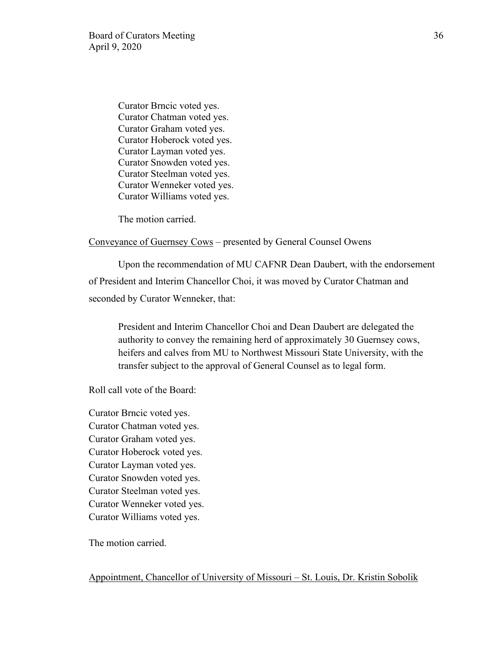Curator Brncic voted yes. Curator Chatman voted yes. Curator Graham voted yes. Curator Hoberock voted yes. Curator Layman voted yes. Curator Snowden voted yes. Curator Steelman voted yes. Curator Wenneker voted yes. Curator Williams voted yes.

The motion carried.

#### Conveyance of Guernsey Cows – presented by General Counsel Owens

 Upon the recommendation of MU CAFNR Dean Daubert, with the endorsement of President and Interim Chancellor Choi, it was moved by Curator Chatman and seconded by Curator Wenneker, that:

President and Interim Chancellor Choi and Dean Daubert are delegated the authority to convey the remaining herd of approximately 30 Guernsey cows, heifers and calves from MU to Northwest Missouri State University, with the transfer subject to the approval of General Counsel as to legal form.

Roll call vote of the Board:

Curator Brncic voted yes. Curator Chatman voted yes. Curator Graham voted yes. Curator Hoberock voted yes. Curator Layman voted yes. Curator Snowden voted yes. Curator Steelman voted yes. Curator Wenneker voted yes. Curator Williams voted yes.

The motion carried.

Appointment, Chancellor of University of Missouri – St. Louis, Dr. Kristin Sobolik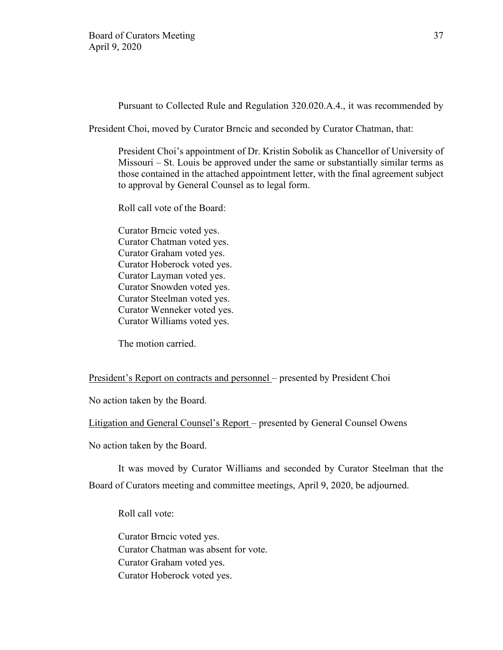Pursuant to Collected Rule and Regulation 320.020.A.4., it was recommended by

President Choi, moved by Curator Brncic and seconded by Curator Chatman, that:

President Choi's appointment of Dr. Kristin Sobolik as Chancellor of University of Missouri – St. Louis be approved under the same or substantially similar terms as those contained in the attached appointment letter, with the final agreement subject to approval by General Counsel as to legal form.

Roll call vote of the Board:

Curator Brncic voted yes. Curator Chatman voted yes. Curator Graham voted yes. Curator Hoberock voted yes. Curator Layman voted yes. Curator Snowden voted yes. Curator Steelman voted yes. Curator Wenneker voted yes. Curator Williams voted yes.

The motion carried.

President's Report on contracts and personnel – presented by President Choi

No action taken by the Board.

Litigation and General Counsel's Report – presented by General Counsel Owens

No action taken by the Board.

It was moved by Curator Williams and seconded by Curator Steelman that the Board of Curators meeting and committee meetings, April 9, 2020, be adjourned.

Roll call vote:

Curator Brncic voted yes. Curator Chatman was absent for vote. Curator Graham voted yes. Curator Hoberock voted yes.